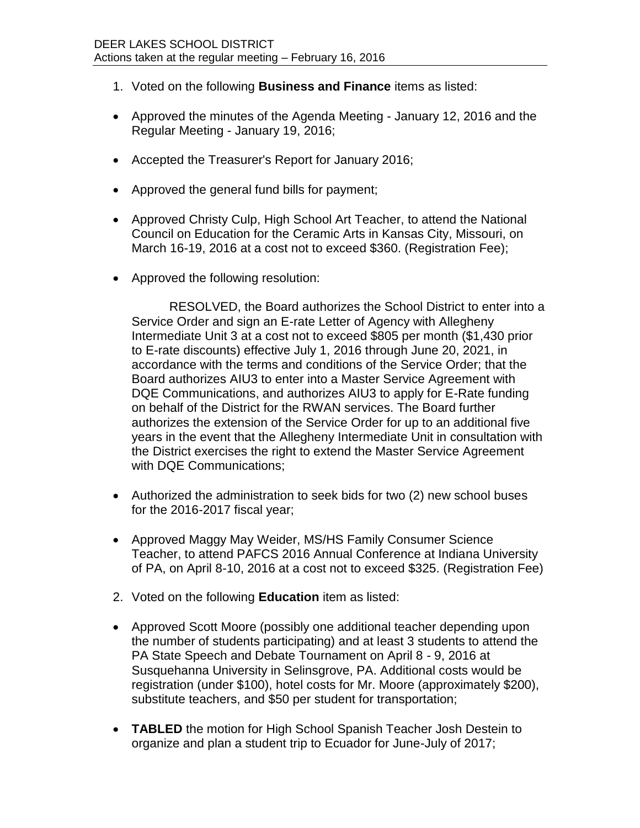- 1. Voted on the following **Business and Finance** items as listed:
- Approved the minutes of the Agenda Meeting January 12, 2016 and the Regular Meeting - January 19, 2016;
- Accepted the Treasurer's Report for January 2016;
- Approved the general fund bills for payment;
- Approved Christy Culp, High School Art Teacher, to attend the National Council on Education for the Ceramic Arts in Kansas City, Missouri, on March 16-19, 2016 at a cost not to exceed \$360. (Registration Fee);
- Approved the following resolution:

RESOLVED, the Board authorizes the School District to enter into a Service Order and sign an E-rate Letter of Agency with Allegheny Intermediate Unit 3 at a cost not to exceed \$805 per month (\$1,430 prior to E-rate discounts) effective July 1, 2016 through June 20, 2021, in accordance with the terms and conditions of the Service Order; that the Board authorizes AIU3 to enter into a Master Service Agreement with DQE Communications, and authorizes AIU3 to apply for E-Rate funding on behalf of the District for the RWAN services. The Board further authorizes the extension of the Service Order for up to an additional five years in the event that the Allegheny Intermediate Unit in consultation with the District exercises the right to extend the Master Service Agreement with DQE Communications;

- Authorized the administration to seek bids for two (2) new school buses for the 2016-2017 fiscal year;
- Approved Maggy May Weider, MS/HS Family Consumer Science Teacher, to attend PAFCS 2016 Annual Conference at Indiana University of PA, on April 8-10, 2016 at a cost not to exceed \$325. (Registration Fee)
- 2. Voted on the following **Education** item as listed:
- Approved Scott Moore (possibly one additional teacher depending upon the number of students participating) and at least 3 students to attend the PA State Speech and Debate Tournament on April 8 - 9, 2016 at Susquehanna University in Selinsgrove, PA. Additional costs would be registration (under \$100), hotel costs for Mr. Moore (approximately \$200), substitute teachers, and \$50 per student for transportation;
- **TABLED** the motion for High School Spanish Teacher Josh Destein to organize and plan a student trip to Ecuador for June-July of 2017;